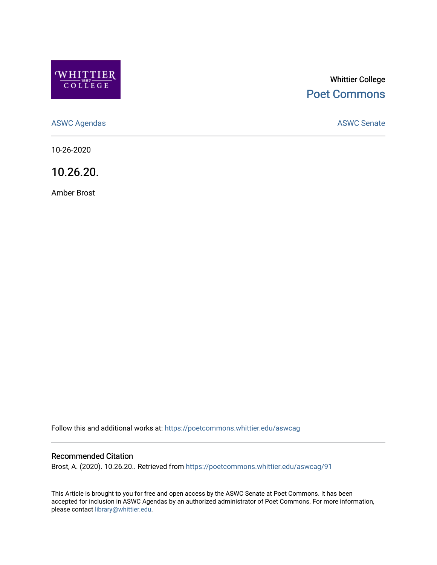

# Whittier College [Poet Commons](https://poetcommons.whittier.edu/)

[ASWC Agendas](https://poetcommons.whittier.edu/aswcag) **ASWC Senate** 

10-26-2020

10.26.20.

Amber Brost

Follow this and additional works at: [https://poetcommons.whittier.edu/aswcag](https://poetcommons.whittier.edu/aswcag?utm_source=poetcommons.whittier.edu%2Faswcag%2F91&utm_medium=PDF&utm_campaign=PDFCoverPages) 

## Recommended Citation

Brost, A. (2020). 10.26.20.. Retrieved from [https://poetcommons.whittier.edu/aswcag/91](https://poetcommons.whittier.edu/aswcag/91?utm_source=poetcommons.whittier.edu%2Faswcag%2F91&utm_medium=PDF&utm_campaign=PDFCoverPages) 

This Article is brought to you for free and open access by the ASWC Senate at Poet Commons. It has been accepted for inclusion in ASWC Agendas by an authorized administrator of Poet Commons. For more information, please contact [library@whittier.edu](mailto:library@whittier.edu).